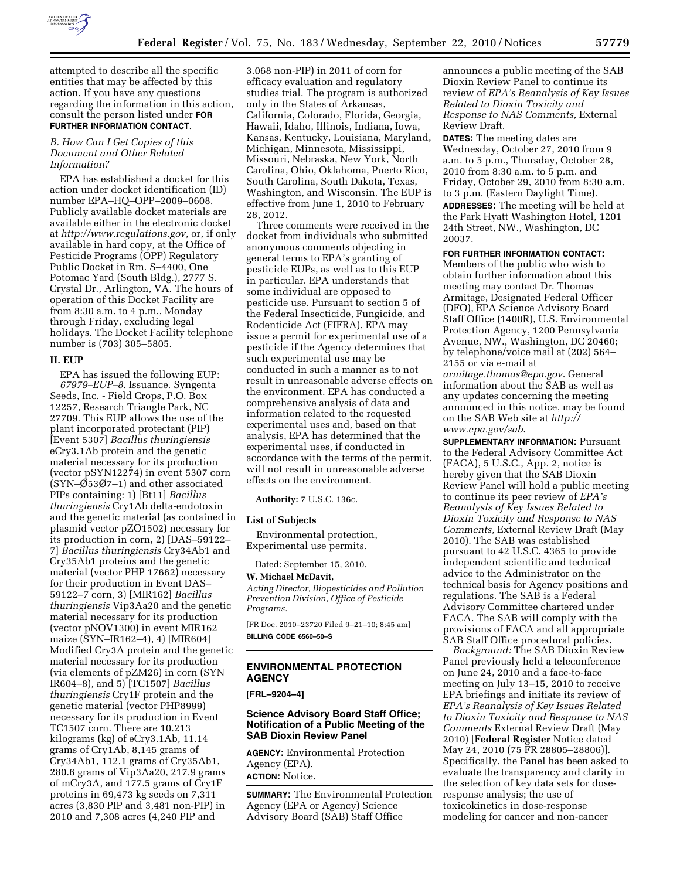

attempted to describe all the specific entities that may be affected by this action. If you have any questions regarding the information in this action, consult the person listed under **FOR FURTHER INFORMATION CONTACT**.

#### *B. How Can I Get Copies of this Document and Other Related Information?*

EPA has established a docket for this action under docket identification (ID) number EPA–HQ–OPP–2009–0608. Publicly available docket materials are available either in the electronic docket at *<http://www.regulations.gov>*, or, if only available in hard copy, at the Office of Pesticide Programs (OPP) Regulatory Public Docket in Rm. S–4400, One Potomac Yard (South Bldg.), 2777 S. Crystal Dr., Arlington, VA. The hours of operation of this Docket Facility are from 8:30 a.m. to 4 p.m., Monday through Friday, excluding legal holidays. The Docket Facility telephone number is (703) 305–5805.

## **II. EUP**

EPA has issued the following EUP: *67979–EUP–8*. Issuance. Syngenta Seeds, Inc. - Field Crops, P.O. Box 12257, Research Triangle Park, NC 27709. This EUP allows the use of the plant incorporated protectant (PIP) [Event 5307] *Bacillus thuringiensis*  eCry3.1Ab protein and the genetic material necessary for its production (vector pSYN12274) in event 5307 corn  $(SYN–0.5307–1)$  and other associated PIPs containing: 1) [Bt11] *Bacillus thuringiensis* Cry1Ab delta-endotoxin and the genetic material (as contained in plasmid vector pZO1502) necessary for its production in corn, 2) [DAS–59122– 7] *Bacillus thuringiensis* Cry34Ab1 and Cry35Ab1 proteins and the genetic material (vector PHP 17662) necessary for their production in Event DAS– 59122–7 corn, 3) [MIR162] *Bacillus thuringiensis* Vip3Aa20 and the genetic material necessary for its production (vector pNOV1300) in event MIR162 maize (SYN–IR162–4), 4) [MIR604] Modified Cry3A protein and the genetic material necessary for its production (via elements of pZM26) in corn (SYN IR604–8), and 5) [TC1507] *Bacillus thuringiensis* Cry1F protein and the genetic material (vector PHP8999) necessary for its production in Event TC1507 corn. There are 10.213 kilograms (kg) of eCry3.1Ab, 11.14 grams of Cry1Ab, 8,145 grams of Cry34Ab1, 112.1 grams of Cry35Ab1, 280.6 grams of Vip3Aa20, 217.9 grams of mCry3A, and 177.5 grams of Cry1F proteins in 69,473 kg seeds on 7,311 acres (3,830 PIP and 3,481 non-PIP) in 2010 and 7,308 acres (4,240 PIP and

3.068 non-PIP) in 2011 of corn for efficacy evaluation and regulatory studies trial. The program is authorized only in the States of Arkansas, California, Colorado, Florida, Georgia, Hawaii, Idaho, Illinois, Indiana, Iowa, Kansas, Kentucky, Louisiana, Maryland, Michigan, Minnesota, Mississippi, Missouri, Nebraska, New York, North Carolina, Ohio, Oklahoma, Puerto Rico, South Carolina, South Dakota, Texas, Washington, and Wisconsin. The EUP is effective from June 1, 2010 to February 28, 2012.

Three comments were received in the docket from individuals who submitted anonymous comments objecting in general terms to EPA's granting of pesticide EUPs, as well as to this EUP in particular. EPA understands that some individual are opposed to pesticide use. Pursuant to section 5 of the Federal Insecticide, Fungicide, and Rodenticide Act (FIFRA), EPA may issue a permit for experimental use of a pesticide if the Agency determines that such experimental use may be conducted in such a manner as to not result in unreasonable adverse effects on the environment. EPA has conducted a comprehensive analysis of data and information related to the requested experimental uses and, based on that analysis, EPA has determined that the experimental uses, if conducted in accordance with the terms of the permit, will not result in unreasonable adverse effects on the environment.

**Authority:** 7 U.S.C. 136c.

## **List of Subjects**

Environmental protection, Experimental use permits.

Dated: September 15, 2010.

#### **W. Michael McDavit,**

*Acting Director, Biopesticides and Pollution Prevention Division, Office of Pesticide Programs.* 

[FR Doc. 2010–23720 Filed 9–21–10; 8:45 am] **BILLING CODE 6560–50–S** 

# **ENVIRONMENTAL PROTECTION AGENCY**

**[FRL–9204–4]** 

# **Science Advisory Board Staff Office; Notification of a Public Meeting of the SAB Dioxin Review Panel**

**AGENCY:** Environmental Protection Agency (EPA). **ACTION:** Notice.

**SUMMARY:** The Environmental Protection Agency (EPA or Agency) Science Advisory Board (SAB) Staff Office

announces a public meeting of the SAB Dioxin Review Panel to continue its review of *EPA's Reanalysis of Key Issues Related to Dioxin Toxicity and Response to NAS Comments,* External Review Draft.

**DATES:** The meeting dates are Wednesday, October 27, 2010 from 9 a.m. to 5 p.m., Thursday, October 28, 2010 from 8:30 a.m. to 5 p.m. and Friday, October 29, 2010 from 8:30 a.m. to 3 p.m. (Eastern Daylight Time). **ADDRESSES:** The meeting will be held at the Park Hyatt Washington Hotel, 1201 24th Street, NW., Washington, DC 20037.

#### **FOR FURTHER INFORMATION CONTACT:**

Members of the public who wish to obtain further information about this meeting may contact Dr. Thomas Armitage, Designated Federal Officer (DFO), EPA Science Advisory Board Staff Office (1400R), U.S. Environmental Protection Agency, 1200 Pennsylvania Avenue, NW., Washington, DC 20460; by telephone/voice mail at (202) 564– 2155 or via e-mail at

*[armitage.thomas@epa.gov](mailto:armitage.thomas@epa.gov)*. General information about the SAB as well as any updates concerning the meeting announced in this notice, may be found on the SAB Web site at *[http://](http://www.epa.gov/sab)  [www.epa.gov/sab](http://www.epa.gov/sab)*.

**SUPPLEMENTARY INFORMATION:** Pursuant to the Federal Advisory Committee Act (FACA), 5 U.S.C., App. 2, notice is hereby given that the SAB Dioxin Review Panel will hold a public meeting to continue its peer review of *EPA's Reanalysis of Key Issues Related to Dioxin Toxicity and Response to NAS Comments,* External Review Draft (May 2010). The SAB was established pursuant to 42 U.S.C. 4365 to provide independent scientific and technical advice to the Administrator on the technical basis for Agency positions and regulations. The SAB is a Federal Advisory Committee chartered under FACA. The SAB will comply with the provisions of FACA and all appropriate SAB Staff Office procedural policies.

*Background:* The SAB Dioxin Review Panel previously held a teleconference on June 24, 2010 and a face-to-face meeting on July 13–15, 2010 to receive EPA briefings and initiate its review of *EPA's Reanalysis of Key Issues Related to Dioxin Toxicity and Response to NAS Comments* External Review Draft (May 2010) [**Federal Register** Notice dated May 24, 2010 (75 FR 28805–28806)]. Specifically, the Panel has been asked to evaluate the transparency and clarity in the selection of key data sets for doseresponse analysis; the use of toxicokinetics in dose-response modeling for cancer and non-cancer